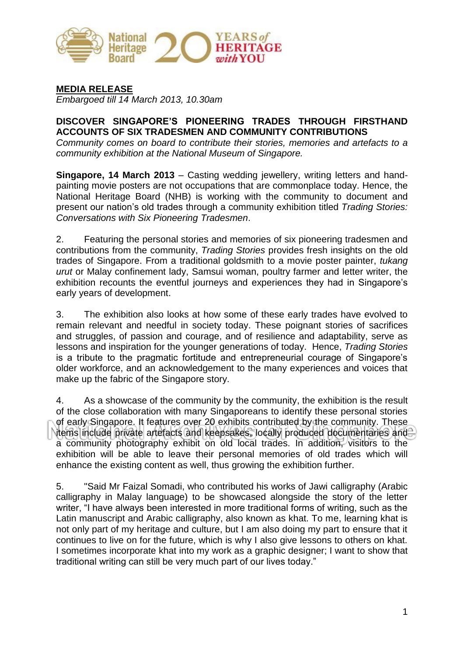

**MEDIA RELEASE**

*Embargoed till 14 March 2013, 10.30am*

#### **DISCOVER SINGAPORE'S PIONEERING TRADES THROUGH FIRSTHAND ACCOUNTS OF SIX TRADESMEN AND COMMUNITY CONTRIBUTIONS**

*Community comes on board to contribute their stories, memories and artefacts to a community exhibition at the National Museum of Singapore.*

**Singapore, 14 March 2013** – Casting wedding jewellery, writing letters and handpainting movie posters are not occupations that are commonplace today. Hence, the National Heritage Board (NHB) is working with the community to document and present our nation's old trades through a community exhibition titled *Trading Stories: Conversations with Six Pioneering Tradesmen*.

2. Featuring the personal stories and memories of six pioneering tradesmen and contributions from the community, *Trading Stories* provides fresh insights on the old trades of Singapore. From a traditional goldsmith to a movie poster painter, *tukang urut* or Malay confinement lady, Samsui woman, poultry farmer and letter writer, the exhibition recounts the eventful journeys and experiences they had in Singapore's early years of development.

3. The exhibition also looks at how some of these early trades have evolved to remain relevant and needful in society today. These poignant stories of sacrifices and struggles, of passion and courage, and of resilience and adaptability, serve as lessons and inspiration for the younger generations of today. Hence, *Trading Stories* is a tribute to the pragmatic fortitude and entrepreneurial courage of Singapore's older workforce, and an acknowledgement to the many experiences and voices that make up the fabric of the Singapore story.

4. As a showcase of the community by the community, the exhibition is the result of the close collaboration with many Singaporeans to identify these personal stories of early Singapore. It features over 20 exhibits contributed by the community. These items include private artefacts and keepsakes, locally produced documentaries and a community photography exhibit on old local trades. In addition, visitors to the exhibition will be able to leave their personal memories of old trades which will enhance the existing content as well, thus growing the exhibition further.

5. "Said Mr Faizal Somadi, who contributed his works of Jawi calligraphy (Arabic calligraphy in Malay language) to be showcased alongside the story of the letter writer, "I have always been interested in more traditional forms of writing, such as the Latin manuscript and Arabic calligraphy, also known as khat. To me, learning khat is not only part of my heritage and culture, but I am also doing my part to ensure that it continues to live on for the future, which is why I also give lessons to others on khat. I sometimes incorporate khat into my work as a graphic designer; I want to show that traditional writing can still be very much part of our lives today."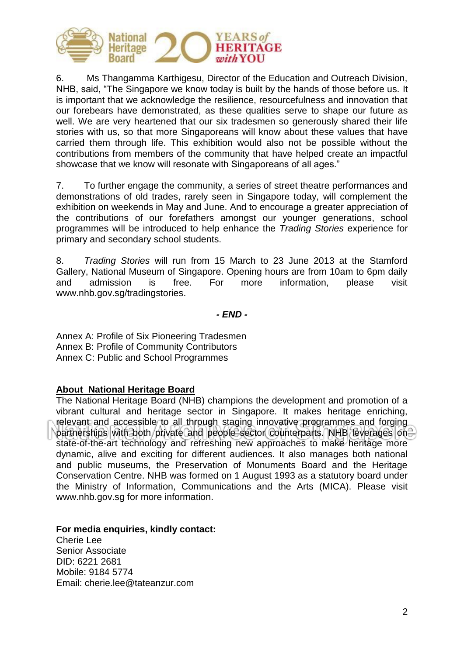

6. Ms Thangamma Karthigesu, Director of the Education and Outreach Division, NHB, said, "The Singapore we know today is built by the hands of those before us. It is important that we acknowledge the resilience, resourcefulness and innovation that our forebears have demonstrated, as these qualities serve to shape our future as well. We are very heartened that our six tradesmen so generously shared their life stories with us, so that more Singaporeans will know about these values that have carried them through life. This exhibition would also not be possible without the contributions from members of the community that have helped create an impactful showcase that we know will resonate with Singaporeans of all ages."

7. To further engage the community, a series of street theatre performances and demonstrations of old trades, rarely seen in Singapore today, will complement the exhibition on weekends in May and June. And to encourage a greater appreciation of the contributions of our forefathers amongst our younger generations, school programmes will be introduced to help enhance the *Trading Stories* experience for primary and secondary school students.

8. *Trading Stories* will run from 15 March to 23 June 2013 at the Stamford Gallery, National Museum of Singapore. Opening hours are from 10am to 6pm daily and admission is free. For more information, please visit www.nhb.gov.sg/tradingstories.

*- END -*

Annex A: Profile of Six Pioneering Tradesmen Annex B: Profile of Community Contributors Annex C: Public and School Programmes

#### **About National Heritage Board**

The National Heritage Board (NHB) champions the development and promotion of a vibrant cultural and heritage sector in Singapore. It makes heritage enriching, relevant and accessible to all through staging innovative programmes and forging partnerships with both private and people sector counterparts. NHB leverages on state-of-the-art technology and refreshing new approaches to make heritage more dynamic, alive and exciting for different audiences. It also manages both national and public museums, the Preservation of Monuments Board and the Heritage Conservation Centre. NHB was formed on 1 August 1993 as a statutory board under the Ministry of Information, Communications and the Arts (MICA). Please visit www.nhb.gov.sg for more information.

**For media enquiries, kindly contact:**

Cherie Lee Senior Associate DID: 6221 2681 Mobile: 9184 5774 Email: cherie.lee@tateanzur.com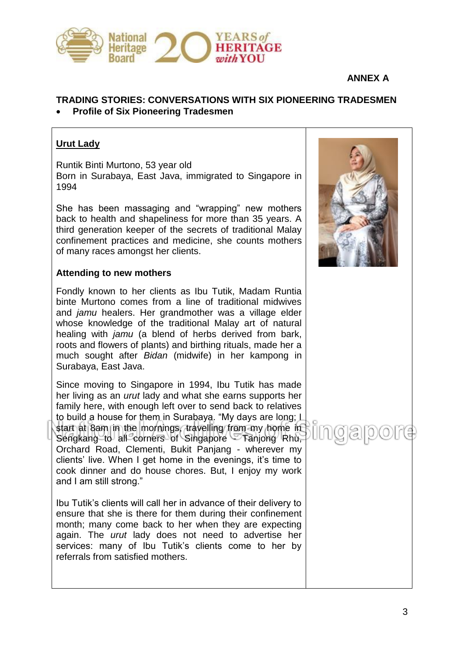

#### **ANNEX A**

#### **TRADING STORIES: CONVERSATIONS WITH SIX PIONEERING TRADESMEN Profile of Six Pioneering Tradesmen**

### **Urut Lady**

Runtik Binti Murtono, 53 year old Born in Surabaya, East Java, immigrated to Singapore in 1994

She has been massaging and "wrapping" new mothers back to health and shapeliness for more than 35 years. A third generation keeper of the secrets of traditional Malay confinement practices and medicine, she counts mothers of many races amongst her clients.

#### **Attending to new mothers**

Fondly known to her clients as Ibu Tutik, Madam Runtia binte Murtono comes from a line of traditional midwives and *jamu* healers. Her grandmother was a village elder whose knowledge of the traditional Malay art of natural healing with *jamu* (a blend of herbs derived from bark, roots and flowers of plants) and birthing rituals, made her a much sought after *Bidan* (midwife) in her kampong in Surabaya, East Java.

Since moving to Singapore in 1994, Ibu Tutik has made her living as an *urut* lady and what she earns supports her family here, with enough left over to send back to relatives to build a house for them in Surabaya. "My days are long; L start at 8am in the mornings, travelling from my home in Sengkang to all corners of Singapore Tanjong Rhu, Orchard Road, Clementi, Bukit Panjang - wherever my clients' live. When I get home in the evenings, it's time to cook dinner and do house chores. But, I enjoy my work and I am still strong."

Ibu Tutik's clients will call her in advance of their delivery to ensure that she is there for them during their confinement month; many come back to her when they are expecting again. The *urut* lady does not need to advertise her services: many of Ibu Tutik's clients come to her by referrals from satisfied mothers.

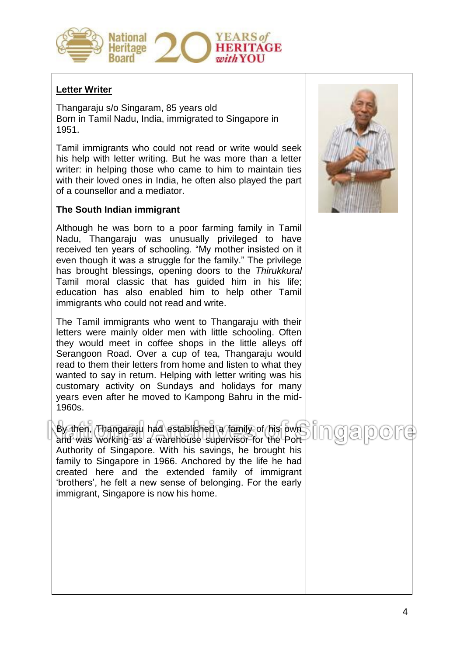

#### **Letter Writer**

Thangaraju s/o Singaram, 85 years old Born in Tamil Nadu, India, immigrated to Singapore in 1951.

Tamil immigrants who could not read or write would seek his help with letter writing. But he was more than a letter writer: in helping those who came to him to maintain ties with their loved ones in India, he often also played the part of a counsellor and a mediator.

#### **The South Indian immigrant**

Although he was born to a poor farming family in Tamil Nadu, Thangaraju was unusually privileged to have received ten years of schooling. "My mother insisted on it even though it was a struggle for the family." The privilege has brought blessings, opening doors to the *Thirukkural*  Tamil moral classic that has guided him in his life; education has also enabled him to help other Tamil immigrants who could not read and write.

The Tamil immigrants who went to Thangaraju with their letters were mainly older men with little schooling. Often they would meet in coffee shops in the little alleys off Serangoon Road. Over a cup of tea, Thangaraju would read to them their letters from home and listen to what they wanted to say in return. Helping with letter writing was his customary activity on Sundays and holidays for many years even after he moved to Kampong Bahru in the mid-1960s.

By then, Thangaraju had established a family of his own and was working as a warehouse supervisor for the Port Authority of Singapore. With his savings, he brought his family to Singapore in 1966. Anchored by the life he had created here and the extended family of immigrant 'brothers', he felt a new sense of belonging. For the early immigrant, Singapore is now his home.

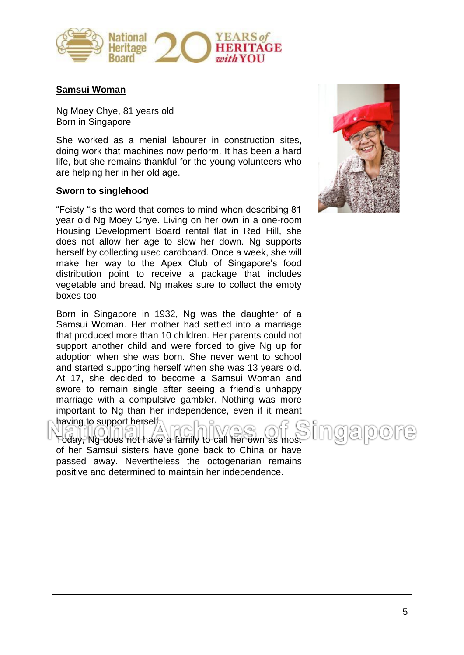

#### **Samsui Woman**

Ng Moey Chye, 81 years old Born in Singapore

She worked as a menial labourer in construction sites, doing work that machines now perform. It has been a hard life, but she remains thankful for the young volunteers who are helping her in her old age.

#### **Sworn to singlehood**

"Feisty "is the word that comes to mind when describing 81 year old Ng Moey Chye. Living on her own in a one-room Housing Development Board rental flat in Red Hill, she does not allow her age to slow her down. Ng supports herself by collecting used cardboard. Once a week, she will make her way to the Apex Club of Singapore's food distribution point to receive a package that includes vegetable and bread. Ng makes sure to collect the empty boxes too.

Born in Singapore in 1932, Ng was the daughter of a Samsui Woman. Her mother had settled into a marriage that produced more than 10 children. Her parents could not support another child and were forced to give Ng up for adoption when she was born. She never went to school and started supporting herself when she was 13 years old. At 17, she decided to become a Samsui Woman and swore to remain single after seeing a friend's unhappy marriage with a compulsive gambler. Nothing was more important to Ng than her independence, even if it meant having to support herself.

2015<br>20 **NIVAQ** Today, Ng does not have a family to call her own as most of her Samsui sisters have gone back to China or have passed away. Nevertheless the octogenarian remains positive and determined to maintain her independence.

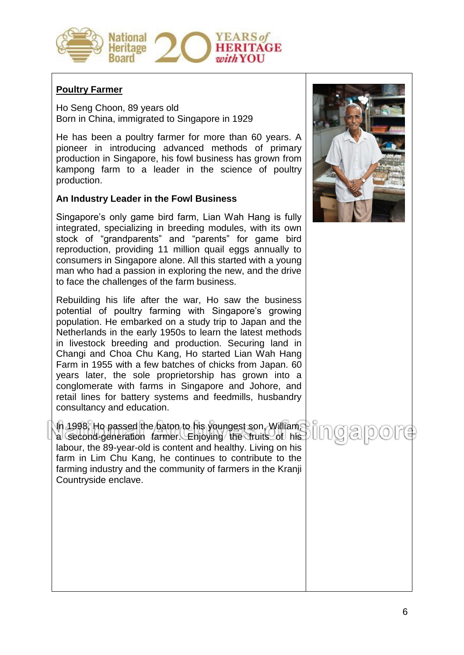

#### **Poultry Farmer**

Ho Seng Choon, 89 years old Born in China, immigrated to Singapore in 1929

He has been a poultry farmer for more than 60 years. A pioneer in introducing advanced methods of primary production in Singapore, his fowl business has grown from kampong farm to a leader in the science of poultry production.

#### **An Industry Leader in the Fowl Business**

Singapore's only game bird farm, Lian Wah Hang is fully integrated, specializing in breeding modules, with its own stock of "grandparents" and "parents" for game bird reproduction, providing 11 million quail eggs annually to consumers in Singapore alone. All this started with a young man who had a passion in exploring the new, and the drive to face the challenges of the farm business.

Rebuilding his life after the war, Ho saw the business potential of poultry farming with Singapore's growing population. He embarked on a study trip to Japan and the Netherlands in the early 1950s to learn the latest methods in livestock breeding and production. Securing land in Changi and Choa Chu Kang, Ho started Lian Wah Hang Farm in 1955 with a few batches of chicks from Japan. 60 years later, the sole proprietorship has grown into a conglomerate with farms in Singapore and Johore, and retail lines for battery systems and feedmills, husbandry consultancy and education.

In 1998, Ho passed the baton to his youngest son, William, a second-generation farmer. Enjoying the fruits of his labour, the 89-year-old is content and healthy. Living on his farm in Lim Chu Kang, he continues to contribute to the farming industry and the community of farmers in the Kranji Countryside enclave.

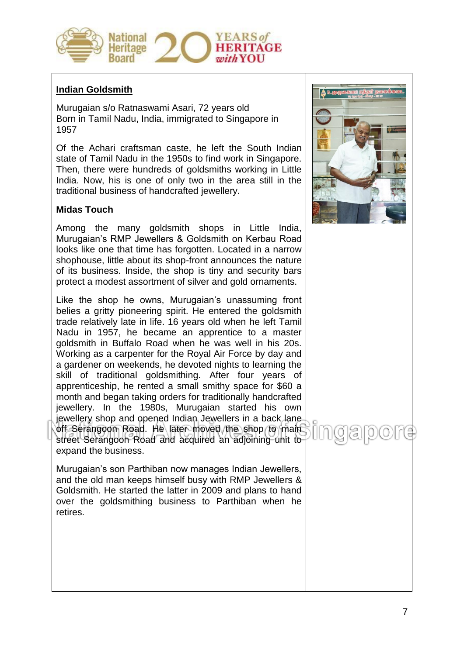

#### **Indian Goldsmith**

Murugaian s/o Ratnaswami Asari, 72 years old Born in Tamil Nadu, India, immigrated to Singapore in 1957

Of the Achari craftsman caste, he left the South Indian state of Tamil Nadu in the 1950s to find work in Singapore. Then, there were hundreds of goldsmiths working in Little India. Now, his is one of only two in the area still in the traditional business of handcrafted jewellery.

#### **Midas Touch**

Among the many goldsmith shops in Little India, Murugaian's RMP Jewellers & Goldsmith on Kerbau Road looks like one that time has forgotten. Located in a narrow shophouse, little about its shop-front announces the nature of its business. Inside, the shop is tiny and security bars protect a modest assortment of silver and gold ornaments.

Like the shop he owns, Murugaian's unassuming front belies a gritty pioneering spirit. He entered the goldsmith trade relatively late in life. 16 years old when he left Tamil Nadu in 1957, he became an apprentice to a master goldsmith in Buffalo Road when he was well in his 20s. Working as a carpenter for the Royal Air Force by day and a gardener on weekends, he devoted nights to learning the skill of traditional goldsmithing. After four years of apprenticeship, he rented a small smithy space for \$60 a month and began taking orders for traditionally handcrafted jewellery. In the 1980s, Murugaian started his own jewellery shop and opened Indian Jewellers in a back lane off Serangoon Road. He later moved the shop to main street Serangoon Road and acquired an adjoining unit to expand the business.

Murugaian's son Parthiban now manages Indian Jewellers, and the old man keeps himself busy with RMP Jewellers & Goldsmith. He started the latter in 2009 and plans to hand over the goldsmithing business to Parthiban when he retires.

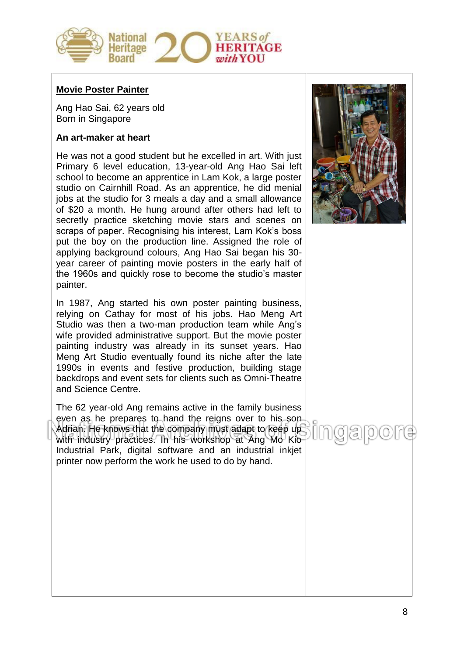

#### **Movie Poster Painter**

Ang Hao Sai, 62 years old Born in Singapore

#### **An art-maker at heart**

He was not a good student but he excelled in art. With just Primary 6 level education, 13-year-old Ang Hao Sai left school to become an apprentice in Lam Kok, a large poster studio on Cairnhill Road. As an apprentice, he did menial jobs at the studio for 3 meals a day and a small allowance of \$20 a month. He hung around after others had left to secretly practice sketching movie stars and scenes on scraps of paper. Recognising his interest, Lam Kok's boss put the boy on the production line. Assigned the role of applying background colours, Ang Hao Sai began his 30 year career of painting movie posters in the early half of the 1960s and quickly rose to become the studio's master painter.

In 1987, Ang started his own poster painting business, relying on Cathay for most of his jobs. Hao Meng Art Studio was then a two-man production team while Ang's wife provided administrative support. But the movie poster painting industry was already in its sunset years. Hao Meng Art Studio eventually found its niche after the late 1990s in events and festive production, building stage backdrops and event sets for clients such as Omni-Theatre and Science Centre.

The 62 year-old Ang remains active in the family business even as he prepares to hand the reigns over to his son-Adrian. He knows that the company must adapt to keep up with industry practices. In his workshop at Ang Mo Kio Industrial Park, digital software and an industrial inkjet printer now perform the work he used to do by hand.

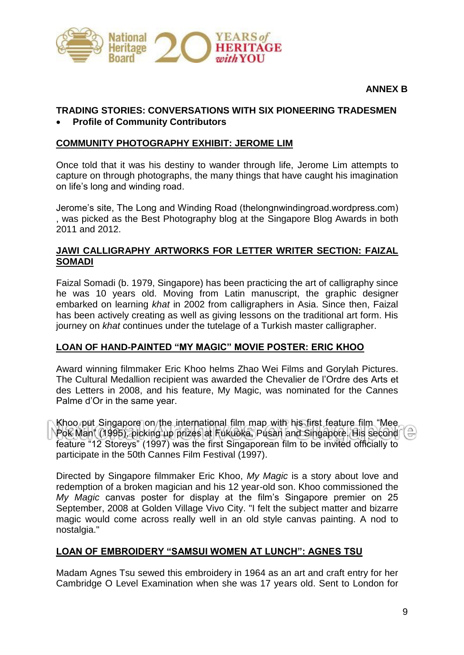

#### **ANNEX B**

#### **TRADING STORIES: CONVERSATIONS WITH SIX PIONEERING TRADESMEN Profile of Community Contributors**

#### **COMMUNITY PHOTOGRAPHY EXHIBIT: JEROME LIM**

Once told that it was his destiny to wander through life, Jerome Lim attempts to capture on through photographs, the many things that have caught his imagination on life's long and winding road.

Jerome's site, The Long and Winding Road (thelongnwindingroad.wordpress.com) , was picked as the Best Photography blog at the Singapore Blog Awards in both 2011 and 2012.

#### **JAWI CALLIGRAPHY ARTWORKS FOR LETTER WRITER SECTION: FAIZAL SOMADI**

Faizal Somadi (b. 1979, Singapore) has been practicing the art of calligraphy since he was 10 years old. Moving from Latin manuscript, the graphic designer embarked on learning *khat* in 2002 from calligraphers in Asia. Since then, Faizal has been actively creating as well as giving lessons on the traditional art form. His journey on *khat* continues under the tutelage of a Turkish master calligrapher.

#### **LOAN OF HAND-PAINTED "MY MAGIC" MOVIE POSTER: ERIC KHOO**

Award winning filmmaker Eric Khoo helms Zhao Wei Films and Gorylah Pictures. The Cultural Medallion recipient was awarded the Chevalier de l'Ordre des Arts et des Letters in 2008, and his feature, My Magic, was nominated for the Cannes Palme d'Or in the same year.

Khoo put Singapore on the international film map with his first feature film "Mee Pok Man" (1995), picking up prizes at Fukuoka, Pusan and Singapore. His second feature "12 Storeys" (1997) was the first Singaporean film to be invited officially to participate in the 50th Cannes Film Festival (1997).

Directed by Singapore filmmaker Eric Khoo, *My Magic* is a story about love and redemption of a broken magician and his 12 year-old son. Khoo commissioned the *My Magic* canvas poster for display at the film's Singapore premier on 25 September, 2008 at Golden Village Vivo City. "I felt the subject matter and bizarre magic would come across really well in an old style canvas painting. A nod to nostalgia."

#### **LOAN OF EMBROIDERY "SAMSUI WOMEN AT LUNCH": AGNES TSU**

Madam Agnes Tsu sewed this embroidery in 1964 as an art and craft entry for her Cambridge O Level Examination when she was 17 years old. Sent to London for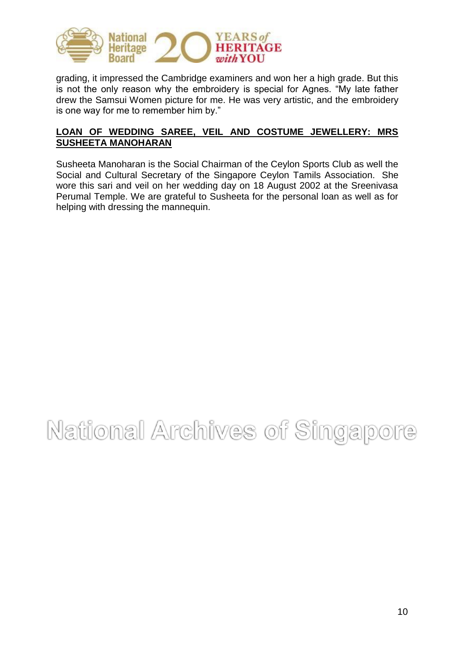

grading, it impressed the Cambridge examiners and won her a high grade. But this is not the only reason why the embroidery is special for Agnes. "My late father drew the Samsui Women picture for me. He was very artistic, and the embroidery is one way for me to remember him by."

#### **LOAN OF WEDDING SAREE, VEIL AND COSTUME JEWELLERY: MRS SUSHEETA MANOHARAN**

Susheeta Manoharan is the Social Chairman of the Ceylon Sports Club as well the Social and Cultural Secretary of the Singapore Ceylon Tamils Association. She wore this sari and veil on her wedding day on 18 August 2002 at the Sreenivasa Perumal Temple. We are grateful to Susheeta for the personal loan as well as for helping with dressing the mannequin.

# National Archives of Singapore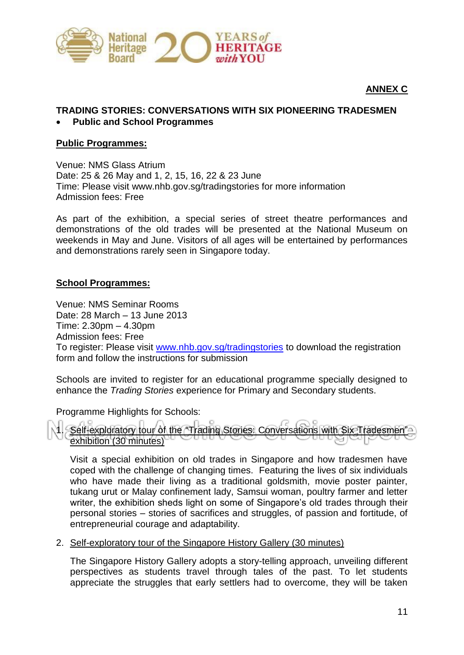

#### **ANNEX C**

### **TRADING STORIES: CONVERSATIONS WITH SIX PIONEERING TRADESMEN**

#### **Public and School Programmes**

#### **Public Programmes:**

Venue: NMS Glass Atrium Date: 25 & 26 May and 1, 2, 15, 16, 22 & 23 June Time: Please visit www.nhb.gov.sg/tradingstories for more information Admission fees: Free

As part of the exhibition, a special series of street theatre performances and demonstrations of the old trades will be presented at the National Museum on weekends in May and June. Visitors of all ages will be entertained by performances and demonstrations rarely seen in Singapore today.

#### **School Programmes:**

Venue: NMS Seminar Rooms Date: 28 March – 13 June 2013 Time: 2.30pm – 4.30pm Admission fees: Free To register: Please visit [www.nhb.gov.sg/tradingstories](http://www.nhb.gov.sg/tradingstories) to download the registration form and follow the instructions for submission

Schools are invited to register for an educational programme specially designed to enhance the *Trading Stories* experience for Primary and Secondary students.

Programme Highlights for Schools:

Self-exploratory tour of the "Trading Stories: Conversations with Six Tradesmen" exhibition (30 minutes)

Visit a special exhibition on old trades in Singapore and how tradesmen have coped with the challenge of changing times. Featuring the lives of six individuals who have made their living as a traditional goldsmith, movie poster painter, tukang urut or Malay confinement lady, Samsui woman, poultry farmer and letter writer, the exhibition sheds light on some of Singapore's old trades through their personal stories – stories of sacrifices and struggles, of passion and fortitude, of entrepreneurial courage and adaptability.

#### 2. Self-exploratory tour of the Singapore History Gallery (30 minutes)

The Singapore History Gallery adopts a story-telling approach, unveiling different perspectives as students travel through tales of the past. To let students appreciate the struggles that early settlers had to overcome, they will be taken